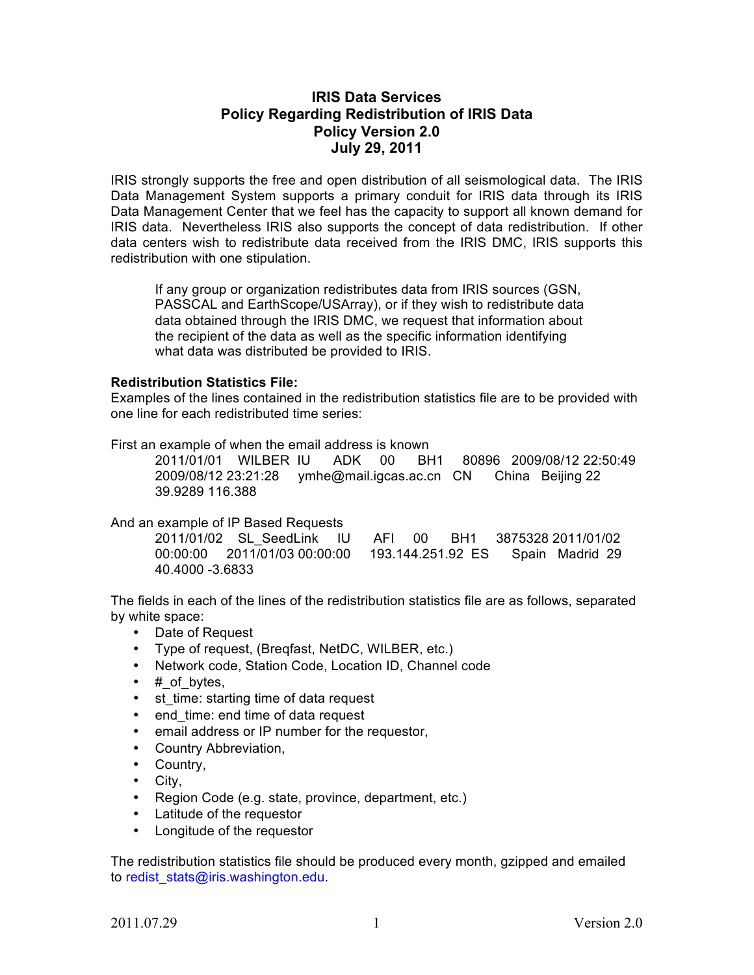## **IRIS Data Services Policy Regarding Redistribution of IRIS Data Policy Version 2.0 July 29, 2011**

IRIS strongly supports the free and open distribution of all seismological data. The IRIS Data Management System supports a primary conduit for IRIS data through its IRIS Data Management Center that we feel has the capacity to support all known demand for IRIS data. Nevertheless IRIS also supports the concept of data redistribution. If other data centers wish to redistribute data received from the IRIS DMC, IRIS supports this redistribution with one stipulation.

If any group or organization redistributes data from IRIS sources (GSN, PASSCAL and EarthScope/USArray), or if they wish to redistribute data data obtained through the IRIS DMC, we request that information about the recipient of the data as well as the specific information identifying what data was distributed be provided to IRIS.

## **Redistribution Statistics File:**

Examples of the lines contained in the redistribution statistics file are to be provided with one line for each redistributed time series:

First an example of when the email address is known

2011/01/01 WILBER IU ADK 00 BH1 80896 2009/08/12 22:50:49 2009/08/12 23:21:28 ymhe@mail.igcas.ac.cn CN China Beijing 22 39.9289 116.388

## And an example of IP Based Requests

|                 | 2011/01/02 SL SeedLink IU AFI 00 BH1 3875328 2011/01/02              |  |  |  |  |
|-----------------|----------------------------------------------------------------------|--|--|--|--|
|                 | 00:00:00  2011/01/03  00:00:00  193.144.251.92  ES  Spain Madrid  29 |  |  |  |  |
| 40.4000 -3.6833 |                                                                      |  |  |  |  |

The fields in each of the lines of the redistribution statistics file are as follows, separated by white space:

- Date of Request
- Type of request, (Breqfast, NetDC, WILBER, etc.)
- Network code, Station Code, Location ID, Channel code
- $\#$  of bytes,
- st\_time: starting time of data request
- end time: end time of data request
- email address or IP number for the requestor,
- Country Abbreviation,
- Country,
- City,
- Region Code (e.g. state, province, department, etc.)
- Latitude of the requestor
- Longitude of the requestor

The redistribution statistics file should be produced every month, gzipped and emailed to redist\_stats@iris.washington.edu.